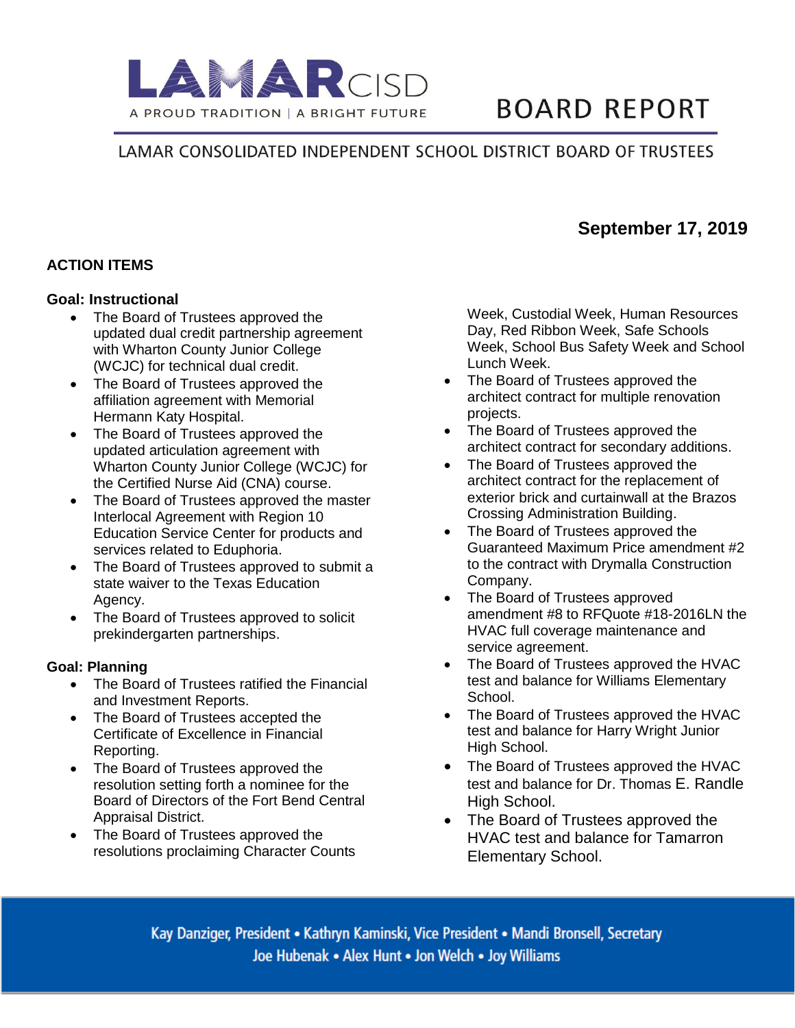

# **BOARD REPORT**

# LAMAR CONSOLIDATED INDEPENDENT SCHOOL DISTRICT BOARD OF TRUSTEES

### **ACTION ITEMS**

#### **Goal: Instructional**

- The Board of Trustees approved the updated dual credit partnership agreement with Wharton County Junior College (WCJC) for technical dual credit.
- The Board of Trustees approved the affiliation agreement with Memorial Hermann Katy Hospital.
- The Board of Trustees approved the updated articulation agreement with Wharton County Junior College (WCJC) for the Certified Nurse Aid (CNA) course.
- The Board of Trustees approved the master Interlocal Agreement with Region 10 Education Service Center for products and services related to Eduphoria.
- The Board of Trustees approved to submit a state waiver to the Texas Education Agency.
- The Board of Trustees approved to solicit prekindergarten partnerships.

#### **Goal: Planning**

- The Board of Trustees ratified the Financial and Investment Reports.
- The Board of Trustees accepted the Certificate of Excellence in Financial Reporting.
- The Board of Trustees approved the resolution setting forth a nominee for the Board of Directors of the Fort Bend Central Appraisal District.
- The Board of Trustees approved the resolutions proclaiming Character Counts

Week, Custodial Week, Human Resources Day, Red Ribbon Week, Safe Schools Week, School Bus Safety Week and School Lunch Week.

**September 17, 2019**

- The Board of Trustees approved the architect contract for multiple renovation projects.
- The Board of Trustees approved the architect contract for secondary additions.
- The Board of Trustees approved the architect contract for the replacement of exterior brick and curtainwall at the Brazos Crossing Administration Building.
- The Board of Trustees approved the Guaranteed Maximum Price amendment #2 to the contract with Drymalla Construction Company.
- The Board of Trustees approved amendment #8 to RFQuote #18-2016LN the HVAC full coverage maintenance and service agreement.
- The Board of Trustees approved the HVAC test and balance for Williams Elementary School.
- The Board of Trustees approved the HVAC test and balance for Harry Wright Junior High School.
- The Board of Trustees approved the HVAC test and balance for Dr. Thomas E. Randle High School.
- The Board of Trustees approved the HVAC test and balance for Tamarron Elementary School.

Kay Danziger, President • Kathryn Kaminski, Vice President • Mandi Bronsell, Secretary Joe Hubenak • Alex Hunt • Jon Welch • Joy Williams